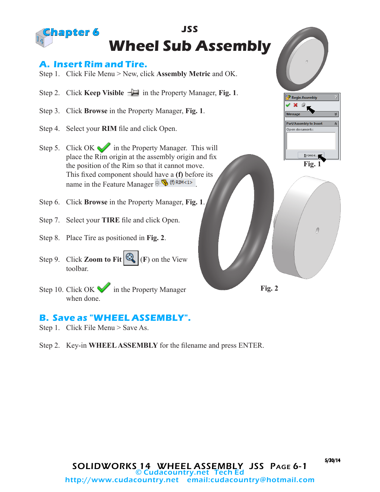

## **B. Save as "WHEEL ASSEMBLY".**

- Step 1. Click File Menu > Save As.
- Step 2. Key-in **WHEEL ASSEMBLY** for the filename and press ENTER.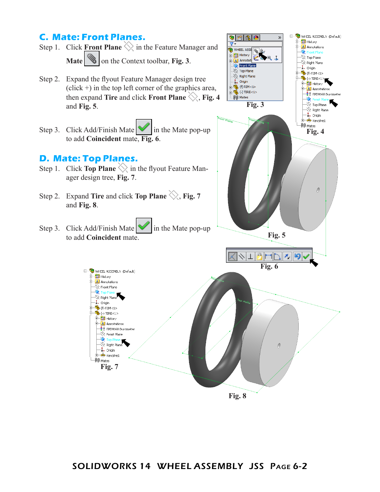## **C. Mate: Front Planes.**

- Step 1. Click **Front Plane**  $\Diamond$  in the Feature Manager and **Mate**  $\Box$  on the Context toolbar, **Fig. 3**.
- Step 2. Expand the flyout Feature Manager design tree  $(click +)$  in the top left corner of the graphics area, then expand **Tire** and click **Front Plane**  $\Diamond$ , **Fig. 4** and **Fig. 5**.
- Step 3. Click Add/Finish Mate  $\mathbb{V}$  in the Mate pop-up to add **Coincident** mate, **Fig. 6**.

## **D. Mate: Top Planes.**

- Step 1. Click **Top Plane**  $\Diamond$  in the flyout Feature Manager design tree, **Fig. 7**.
- Step 2. Expand **Tire** and click **Top Plane**  $\diamondsuit$ , **Fig. 7** and **Fig. 8**.
- Step 3. Click Add/Finish Mate  $\blacksquare$  in the Mate pop-up to add **Coincident** mate.



**Fig. 3**

**Q** 

 $\overline{\mathbf{P}}$ 

a 21

\$ mir

WHEEL ASSE

 $\Box$  History

 $\frac{1}{\sqrt{\mathbf{A}}}$  Annotati

Front Plane

 $\gg$  Top Plane

 $\gg$  Right Plane

 $\downarrow$  Origin

 $\widehat{\mathbb{H}}$  Mates

 $\mathbb{E} \mathbb{Q}$  (f) RIM<1>

 $\frac{1}{11}$   $\sqrt{\frac{1}{2}}$  (-) TIRE<1>

 $\overline{\mathbf{Y}}$ 

**Fig. 4**

 $\theta$ 

E- WHEEL ASSEMBLY (Default)

**D** History

 $\gg$ 

 $\overline{\mathbf{A}}$  Annotations

 $\overline{\otimes}$  Top Plane

 $\preceq$  Right Plane

 $\frac{1}{2}$  Origin

 $\overline{\mathbf{P}}$  (f) RIM<1>

 $\frac{1}{2}$   $\frac{1}{2}$   $\frac{1}{2}$  TIRE <1>

**D** History

 $\ddot{\diamond}$  $\preccurlyeq$  Top Plane  $\otimes$  Right Plane  $\left| \left| \right|$  Origin <del>⊥ क</del>े Revolve1  $-00$  Mates

 $\overline{\mathbf{A}}$  Annotations

 $\frac{3}{5}$  EPDM 60 Durometer

 $\mathbf{\hat{z}}$ 

## SOLIDWORKS 14 WHEEL ASSEMBLY JSS Page 6-2